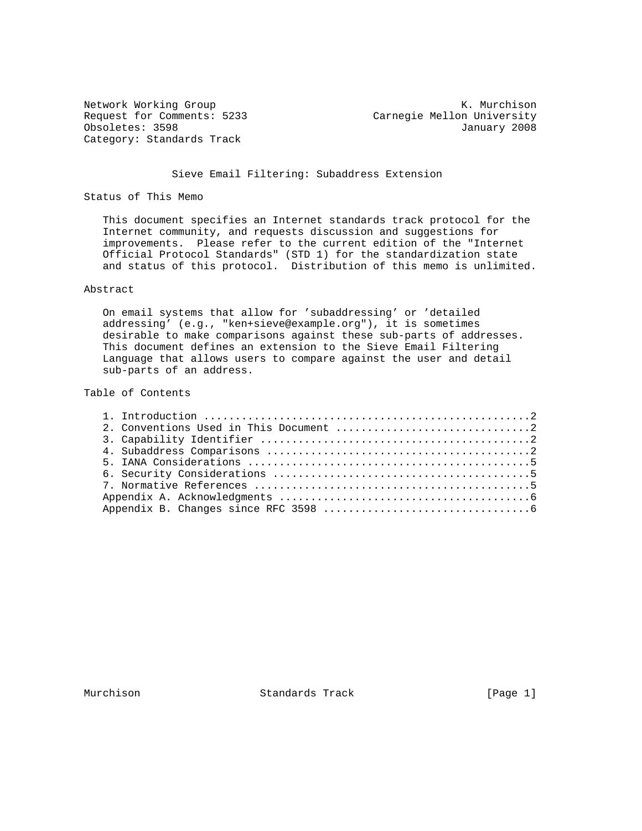Category: Standards Track

Network Working Group Network Working Group Network K. Murchison Request for Comments: 5233 Carnegie Mellon University Obsoletes: 3598 January 2008

Sieve Email Filtering: Subaddress Extension

Status of This Memo

 This document specifies an Internet standards track protocol for the Internet community, and requests discussion and suggestions for improvements. Please refer to the current edition of the "Internet Official Protocol Standards" (STD 1) for the standardization state and status of this protocol. Distribution of this memo is unlimited.

## Abstract

 On email systems that allow for 'subaddressing' or 'detailed addressing' (e.g., "ken+sieve@example.org"), it is sometimes desirable to make comparisons against these sub-parts of addresses. This document defines an extension to the Sieve Email Filtering Language that allows users to compare against the user and detail sub-parts of an address.

Table of Contents

Murchison Standards Track [Page 1]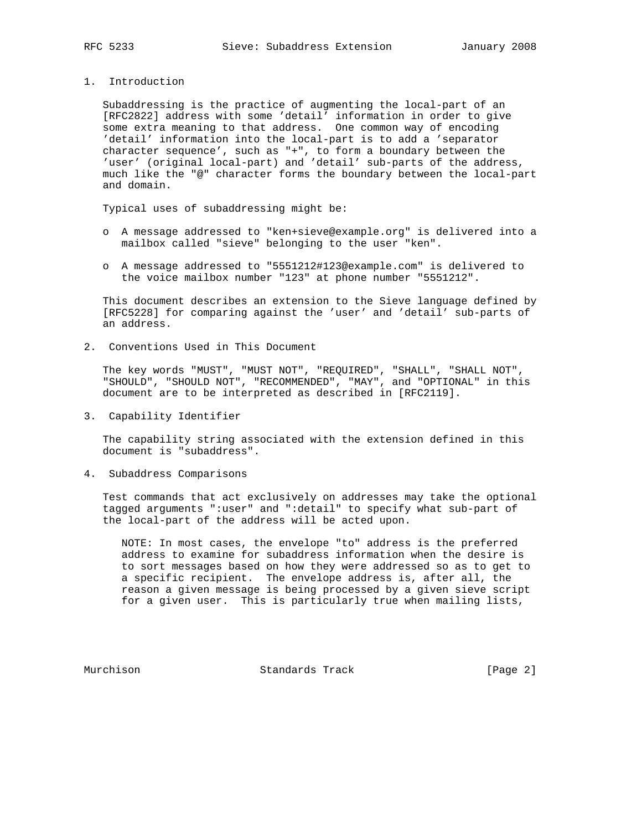1. Introduction

 Subaddressing is the practice of augmenting the local-part of an [RFC2822] address with some 'detail' information in order to give some extra meaning to that address. One common way of encoding 'detail' information into the local-part is to add a 'separator character sequence', such as "+", to form a boundary between the 'user' (original local-part) and 'detail' sub-parts of the address, much like the "@" character forms the boundary between the local-part and domain.

Typical uses of subaddressing might be:

- o A message addressed to "ken+sieve@example.org" is delivered into a mailbox called "sieve" belonging to the user "ken".
- o A message addressed to "5551212#123@example.com" is delivered to the voice mailbox number "123" at phone number "5551212".

 This document describes an extension to the Sieve language defined by [RFC5228] for comparing against the 'user' and 'detail' sub-parts of an address.

2. Conventions Used in This Document

 The key words "MUST", "MUST NOT", "REQUIRED", "SHALL", "SHALL NOT", "SHOULD", "SHOULD NOT", "RECOMMENDED", "MAY", and "OPTIONAL" in this document are to be interpreted as described in [RFC2119].

3. Capability Identifier

 The capability string associated with the extension defined in this document is "subaddress".

4. Subaddress Comparisons

 Test commands that act exclusively on addresses may take the optional tagged arguments ":user" and ":detail" to specify what sub-part of the local-part of the address will be acted upon.

 NOTE: In most cases, the envelope "to" address is the preferred address to examine for subaddress information when the desire is to sort messages based on how they were addressed so as to get to a specific recipient. The envelope address is, after all, the reason a given message is being processed by a given sieve script for a given user. This is particularly true when mailing lists,

Murchison Standards Track [Page 2]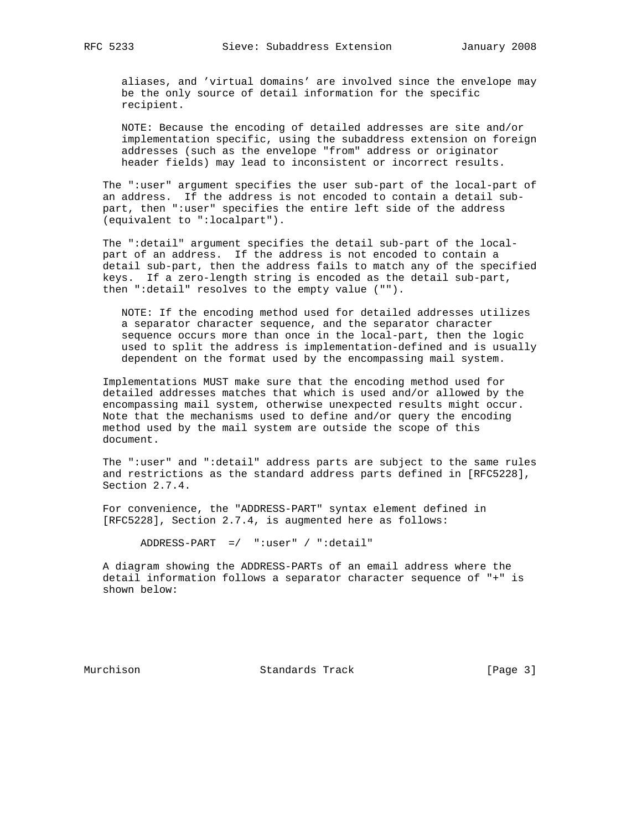aliases, and 'virtual domains' are involved since the envelope may be the only source of detail information for the specific recipient.

 NOTE: Because the encoding of detailed addresses are site and/or implementation specific, using the subaddress extension on foreign addresses (such as the envelope "from" address or originator header fields) may lead to inconsistent or incorrect results.

 The ":user" argument specifies the user sub-part of the local-part of an address. If the address is not encoded to contain a detail sub part, then ":user" specifies the entire left side of the address (equivalent to ":localpart").

 The ":detail" argument specifies the detail sub-part of the local part of an address. If the address is not encoded to contain a detail sub-part, then the address fails to match any of the specified keys. If a zero-length string is encoded as the detail sub-part, then ":detail" resolves to the empty value ("").

 NOTE: If the encoding method used for detailed addresses utilizes a separator character sequence, and the separator character sequence occurs more than once in the local-part, then the logic used to split the address is implementation-defined and is usually dependent on the format used by the encompassing mail system.

 Implementations MUST make sure that the encoding method used for detailed addresses matches that which is used and/or allowed by the encompassing mail system, otherwise unexpected results might occur. Note that the mechanisms used to define and/or query the encoding method used by the mail system are outside the scope of this document.

 The ":user" and ":detail" address parts are subject to the same rules and restrictions as the standard address parts defined in [RFC5228], Section 2.7.4.

 For convenience, the "ADDRESS-PART" syntax element defined in [RFC5228], Section 2.7.4, is augmented here as follows:

ADDRESS-PART =/ ":user" / ":detail"

 A diagram showing the ADDRESS-PARTs of an email address where the detail information follows a separator character sequence of "+" is shown below:

Murchison Standards Track [Page 3]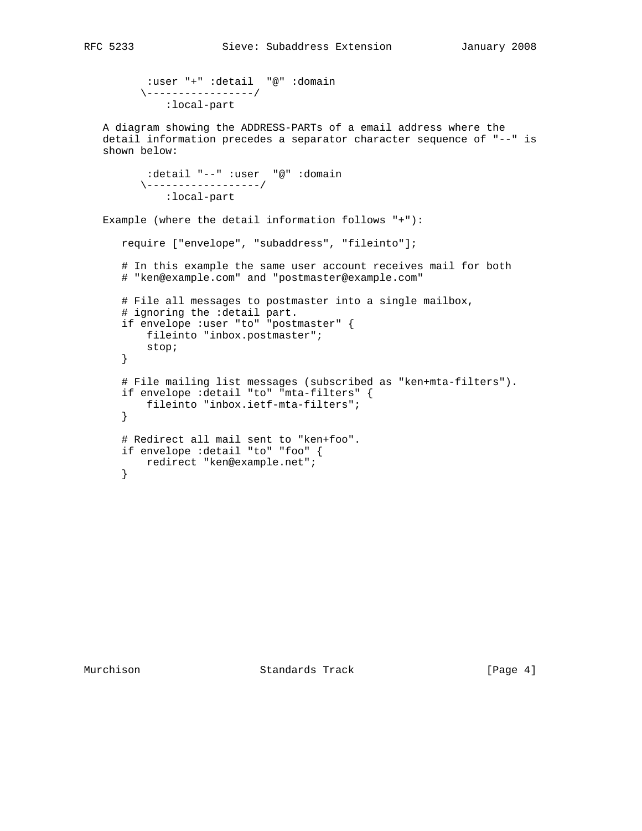```
 :user "+" :detail "@" :domain
\-----------------/
  :local-part
```
 A diagram showing the ADDRESS-PARTs of a email address where the detail information precedes a separator character sequence of "--" is shown below:

```
 :detail "--" :user "@" :domain
\------------------/
   :local-part
```
Example (where the detail information follows "+"):

```
 require ["envelope", "subaddress", "fileinto"];
```
 # In this example the same user account receives mail for both # "ken@example.com" and "postmaster@example.com"

```
 # File all messages to postmaster into a single mailbox,
# ignoring the :detail part.
if envelope :user "to" "postmaster" {
   fileinto "inbox.postmaster";
   stop;
}
# File mailing list messages (subscribed as "ken+mta-filters").
if envelope :detail "to" "mta-filters" {
   fileinto "inbox.ietf-mta-filters";
}
# Redirect all mail sent to "ken+foo".
if envelope :detail "to" "foo" {
   redirect "ken@example.net";
}
```
Murchison Standards Track [Page 4]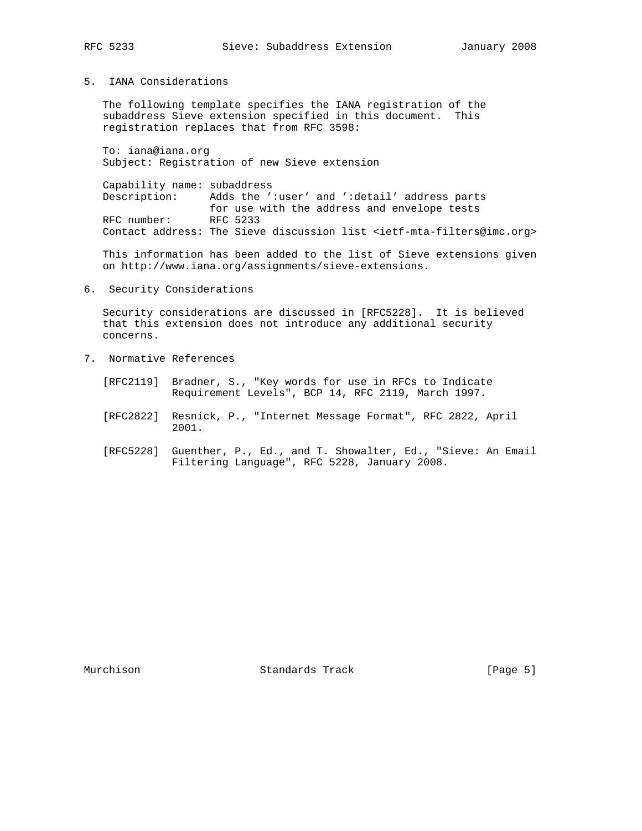5. IANA Considerations

 The following template specifies the IANA registration of the subaddress Sieve extension specified in this document. This registration replaces that from RFC 3598:

 To: iana@iana.org Subject: Registration of new Sieve extension

 Capability name: subaddress Description: Adds the ':user' and ':detail' address parts for use with the address and envelope tests<br>RFC 5233 RFC number: Contact address: The Sieve discussion list <ietf-mta-filters@imc.org>

 This information has been added to the list of Sieve extensions given on http://www.iana.org/assignments/sieve-extensions.

6. Security Considerations

 Security considerations are discussed in [RFC5228]. It is believed that this extension does not introduce any additional security concerns.

- 7. Normative References
	- [RFC2119] Bradner, S., "Key words for use in RFCs to Indicate Requirement Levels", BCP 14, RFC 2119, March 1997.
	- [RFC2822] Resnick, P., "Internet Message Format", RFC 2822, April 2001.
	- [RFC5228] Guenther, P., Ed., and T. Showalter, Ed., "Sieve: An Email Filtering Language", RFC 5228, January 2008.

Murchison **Standards Track** [Page 5]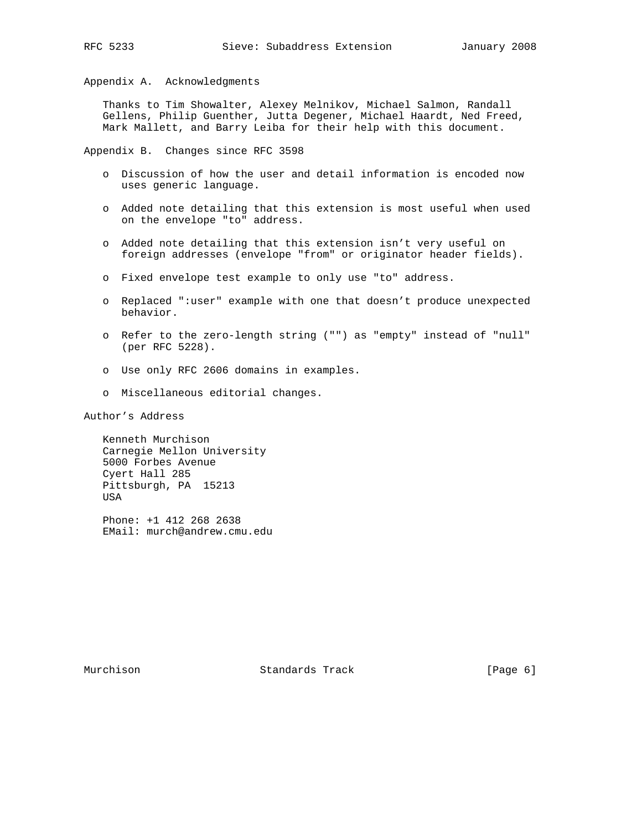Appendix A. Acknowledgments

 Thanks to Tim Showalter, Alexey Melnikov, Michael Salmon, Randall Gellens, Philip Guenther, Jutta Degener, Michael Haardt, Ned Freed, Mark Mallett, and Barry Leiba for their help with this document.

Appendix B. Changes since RFC 3598

- o Discussion of how the user and detail information is encoded now uses generic language.
- o Added note detailing that this extension is most useful when used on the envelope "to" address.
- o Added note detailing that this extension isn't very useful on foreign addresses (envelope "from" or originator header fields).
- o Fixed envelope test example to only use "to" address.
- o Replaced ":user" example with one that doesn't produce unexpected behavior.
- o Refer to the zero-length string ("") as "empty" instead of "null" (per RFC 5228).
- o Use only RFC 2606 domains in examples.
- o Miscellaneous editorial changes.

Author's Address

 Kenneth Murchison Carnegie Mellon University 5000 Forbes Avenue Cyert Hall 285 Pittsburgh, PA 15213 USA

 Phone: +1 412 268 2638 EMail: murch@andrew.cmu.edu

Murchison **Standards Track** [Page 6]